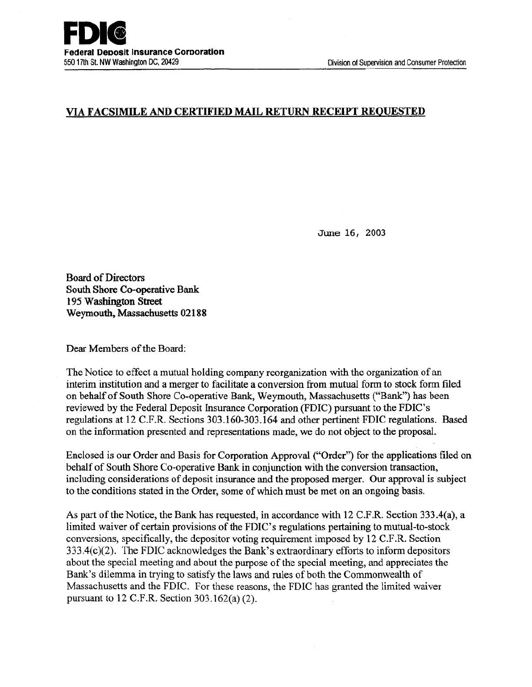## VIA FACSIMILE AND CERTIFIED MAIL RETURN RECEIPT REQUESTED

June 16, 2003

Board of Directors South Shore Co-operative Bank 195 Washington Street Weymouth, Massachusetts 02188

Dear Members of the Board:

The Notice to effect a mutual holding company reorganization with the organization of an interim institution and a merger to facilitate a conversion from mutual form to stock form filed on behalf of South Shore Co-operative Bank, Weymouth, Massachusetts ("Bank") has been reviewed by the Federal Deposit Insurance Corporation (FDIC) pursuant to the FDIC's regulations at 12 C.F.R. Sections 303.160-303.164 and other pertinent FDIC regulations. Based on the information presented and representations made, we do not object to the proposal.

Enclosed is our Order and Basis for Corporation Approval ("Order") for the applications filed on behalf of South Shore Co-operative Bank in conjunction with the conversion transaction, including considerations of deposit insurance and the proposed merger. Our approval is subject to the conditions stated in the Order, some of which must be met on an ongoing basis.

As part of the Notice, the Bank has requested, in accordance with 12 C.F.R. Section 333.4(a), a limited waiver of certain provisions of the FDIC's regulations pertaining to mutual-to-stock conversions, specifically, the depositor voting requirement imposed by 12 C.F.R. Section 333.4(c)(2). The FDIC acknowledges the Bank's extraordinary efforts to inform depositors about the special meeting and about the purpose of the special meeting, and appreciates the Bank's dilemma in trying to satisfy the laws and rules of both the Commonwealth of Massachusetts and the FDIC. For these reasons, the FDIC has granted the limited waiver pursuant to 12 C.F.R. Section 303.162(a) (2).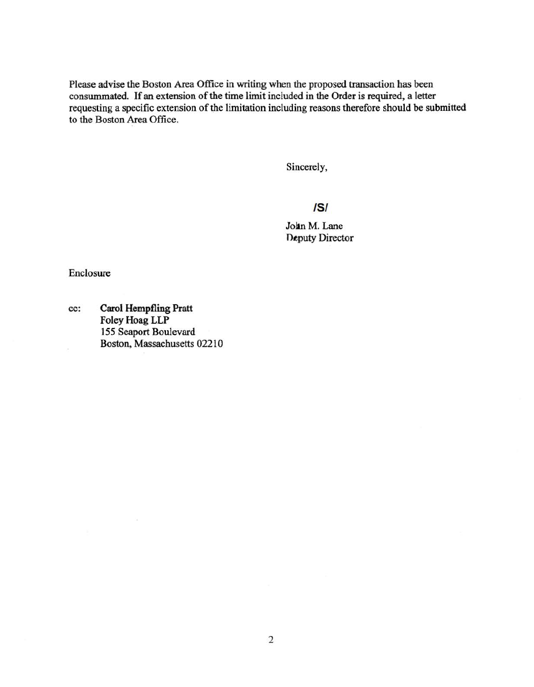Please advise the Boston Area Office in writing when the proposed transaction has been consummated. If an extension of the time limit included in the Order is required, a letter requesting a specific extension of the limitation including reasons therefore should be submitted to the Boston Area Office.

Sincerely,

/5/

John M. Lane Deputy Director

Enclosure

cc: Carol Hempfling Pratt Foley Hoag LLP 155 Seaport Boulevard Boston, Massachusetts 02210

 $\mathcal{A}$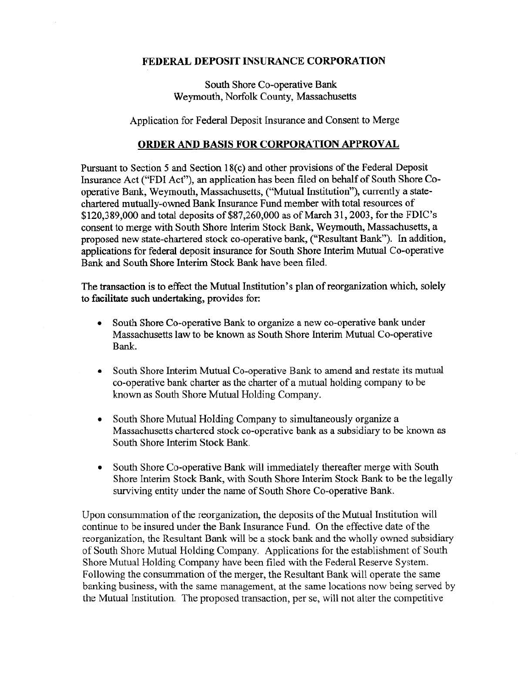## FEDERAL DEPOSIT INSURANCE CORPORATION

South Shore Co-operative Bank Weymouth, Norfolk County, Massachusetts

Application for Federal Deposit Insurance and Consent to Merge

## ORDER AND BASIS FOR CORPORATION APPROVAL

Pursuant to Section 5 and Section 18(c) and other provisions of the Federal Deposit Insurance Act ("FDI Act"), an application has been filed on behalf of South Shore Cooperative Bank, Weymouth, Massachusetts, ("Mutual Institution"), currently a statechartered mutually-owned Bank Insurance Fund member with total resources of \$120,389,000 and total deposits of \$87,260,000 as of March 31, 2003, for the FDIC's consent to merge with South Shore Interim Stock Bank, Weymouth, Massachusetts, a proposed new state-chartered stock co-operative bank, ("Resultant Bank"). In addition, applications for federal deposit insurance for South Shore Interim Mutual Co-operative Bank and South Shore Interim Stock Bank have been filed.

The transaction is to effect the Mutual Institution's plan of reorganization which, solely to facilitate such undertaking, provides for:

- Souih Shore Co-operative Bank to organize a new co-operative bank under Massachusetts law to be known as South Shore Interim Mutual Co-operative Bank.
- South Shore Interim Mutual Co-operative Bank to amend and restate its mutual co-operative bank charter as the charter of a mutual holding company to be known as South Shore Mutual Holding Company.
- South Shore Mutual Holding Company to simultaneously organize a Massachusetts chartered stock co-operative bank as a subsidiary to be known as South Shore Interim Stock Bank.
- South Shore Co-operative Bank will immediately thereafter merge with South Shore Interim Stock Bank, with South Shore Interim Stock Bank to be the legally surviving entity under the name of South Shore Co-operative Bank.

Upon consummation of the reorganization, the deposits of the Mutual Institution will continue to be insured under the Bank Insurance Fund. On the effective date of the reorganization, the Resultant Bank will be a stock bank and the wholly owned subsidiary of South Shore Mutual Holding Company. Applications for the establishment of South Shore Mutual Holding Company have been filed with the Federal Reserve System. Following the consummation of the merger, the Resultant Bank will operate the same banking business, with the same management, at the same locations now being served by the Mutual Institution. The proposed transaction, per se, will not alter the competitive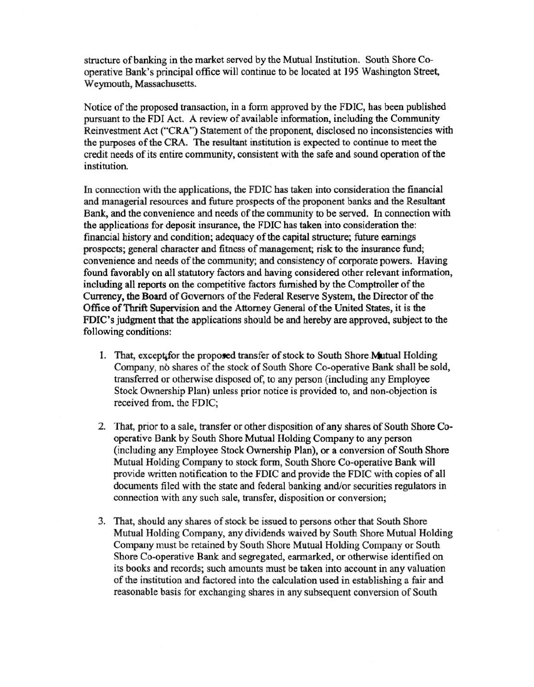structure of banking in the market served by the Mutual Institution. South Shore Cooperative Bank's principal office will continue to be located at 195 Washington Street, Weymouth, Massachusetts.

Notice of the proposed transaction, in a form approved by the FDIC, has been published pursuant to the FDI Act. A review of available information, including the Community Reinvestment Act ("CRA") Statement of the proponent, disclosed no inconsistencies with the purposes of the CRA. The resultant institution is expected to continue to meet the credit needs of its entire community, consistent with the safe and sound operation of the institution.

In connection with the applications, the FDIC has taken into consideration the financial and managerial resources and future prospects of the proponent banks and the Resultant Bank, and the convenience and needs of the community to be served. In connection with the applications for deposit insurance, the FDIC has taken into consideration the: financial history and condition; adequacy of the capital structure; future earnings prospects; general character and fitness of management; risk to the insurance fund; convenience and needs of the community; and consistency of corporate powers. Having found favorably on all statutory factors and having considered other relevant information, including all reports on the competitive factors furnished by the Comptroller of the Currency, the Board of Governors of the Federal Reserve System, the Director of the Office of Thrift Supervision and the Attorney General of the United States, it is the FDIC's judgment that the applications should be and hereby are approved, subject to the following conditions:

- 1. That, except for the proposed transfer of stock to South Shore Mutual Holding Company, no shares of the stock of South Shore Co-operative Bank shall be sold, transferred or otherwise disposed of, to any person (including any Employee Stock Ownership Plan) unless prior notice is provided to, and non-objection is received from. the FDIC;
- 2. That, prior to a sale, transfer or other disposition of any shares of South Shore Cooperative Bank by South Shore Mutual Holding Company to any person (including any Employee Stock Ownership Plan), or a conversion of South Shore Mutual Holding Company to stock form, South Shore Co-operative Bank will provide written notification to the FDIC and provide the FDIC with copies of all documents filed with the state and federal banking and/or securities regulators in connection with any such sale, transfer, disposition or conversion;
- 3. That, should any shares of stock be issued to persons other that South Shore Mutual Holding Company, any dividends waived by South Shore Mutual Holding Company must be retained by South Shore Mutual Holding Company or South Shore Co-operative Bank and segregated, earmarked, or otherwise identified on its books and records; such amounts must be taken into account in any valuation of the institution and factored into the calculation used in establishing a fair and reasonable basis for exchanging shares in any subsequent conversion of South